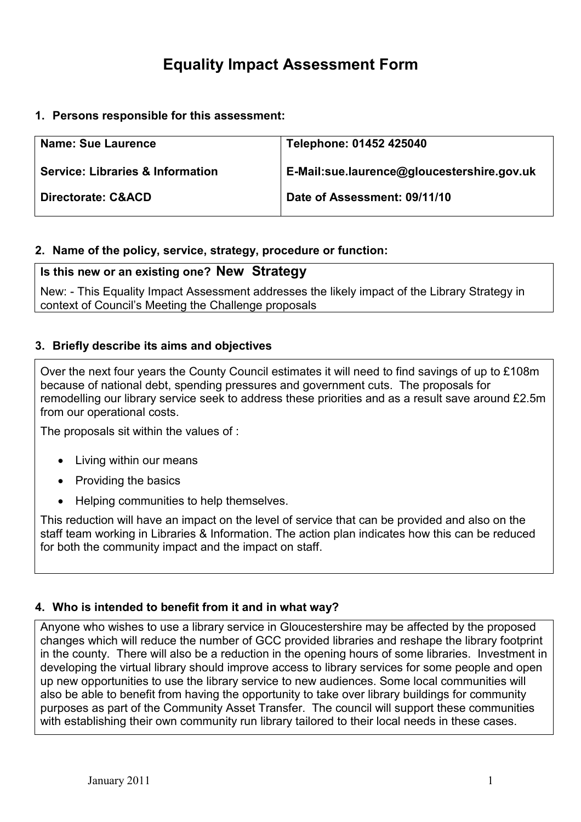# Equality Impact Assessment Form

1. Persons responsible for this assessment:

| <b>Name: Sue Laurence</b>                   | Telephone: 01452 425040                    |
|---------------------------------------------|--------------------------------------------|
| <b>Service: Libraries &amp; Information</b> | E-Mail:sue.laurence@gloucestershire.gov.uk |
| Directorate: C&ACD                          | Date of Assessment: 09/11/10               |

#### 2. Name of the policy, service, strategy, procedure or function:

#### Is this new or an existing one? New Strategy

New: - This Equality Impact Assessment addresses the likely impact of the Library Strategy in context of Council's Meeting the Challenge proposals

#### 3. Briefly describe its aims and objectives

Over the next four years the County Council estimates it will need to find savings of up to £108m because of national debt, spending pressures and government cuts. The proposals for remodelling our library service seek to address these priorities and as a result save around £2.5m from our operational costs.

The proposals sit within the values of :

- Living within our means
- Providing the basics
- Helping communities to help themselves.

This reduction will have an impact on the level of service that can be provided and also on the staff team working in Libraries & Information. The action plan indicates how this can be reduced for both the community impact and the impact on staff.

#### 4. Who is intended to benefit from it and in what way?

Anyone who wishes to use a library service in Gloucestershire may be affected by the proposed changes which will reduce the number of GCC provided libraries and reshape the library footprint in the county. There will also be a reduction in the opening hours of some libraries. Investment in developing the virtual library should improve access to library services for some people and open up new opportunities to use the library service to new audiences. Some local communities will also be able to benefit from having the opportunity to take over library buildings for community purposes as part of the Community Asset Transfer. The council will support these communities with establishing their own community run library tailored to their local needs in these cases.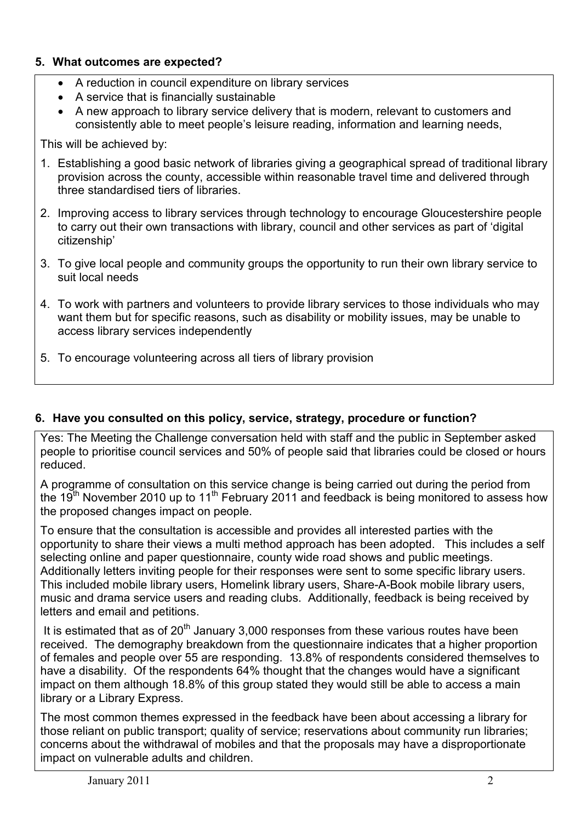#### 5. What outcomes are expected?

- A reduction in council expenditure on library services
- A service that is financially sustainable
- A new approach to library service delivery that is modern, relevant to customers and consistently able to meet people's leisure reading, information and learning needs,

This will be achieved by:

- 1. Establishing a good basic network of libraries giving a geographical spread of traditional library provision across the county, accessible within reasonable travel time and delivered through three standardised tiers of libraries.
- 2. Improving access to library services through technology to encourage Gloucestershire people to carry out their own transactions with library, council and other services as part of 'digital citizenship'
- 3. To give local people and community groups the opportunity to run their own library service to suit local needs
- 4. To work with partners and volunteers to provide library services to those individuals who may want them but for specific reasons, such as disability or mobility issues, may be unable to access library services independently
- 5. To encourage volunteering across all tiers of library provision

#### 6. Have you consulted on this policy, service, strategy, procedure or function?

Yes: The Meeting the Challenge conversation held with staff and the public in September asked people to prioritise council services and 50% of people said that libraries could be closed or hours reduced.

A programme of consultation on this service change is being carried out during the period from the 19<sup>th</sup> November 2010 up to 11<sup>th</sup> February 2011 and feedback is being monitored to assess how the proposed changes impact on people.

To ensure that the consultation is accessible and provides all interested parties with the opportunity to share their views a multi method approach has been adopted. This includes a self selecting online and paper questionnaire, county wide road shows and public meetings. Additionally letters inviting people for their responses were sent to some specific library users. This included mobile library users, Homelink library users, Share-A-Book mobile library users, music and drama service users and reading clubs. Additionally, feedback is being received by letters and email and petitions.

It is estimated that as of  $20<sup>th</sup>$  January 3,000 responses from these various routes have been received. The demography breakdown from the questionnaire indicates that a higher proportion of females and people over 55 are responding. 13.8% of respondents considered themselves to have a disability. Of the respondents 64% thought that the changes would have a significant impact on them although 18.8% of this group stated they would still be able to access a main library or a Library Express.

The most common themes expressed in the feedback have been about accessing a library for those reliant on public transport; quality of service; reservations about community run libraries; concerns about the withdrawal of mobiles and that the proposals may have a disproportionate impact on vulnerable adults and children.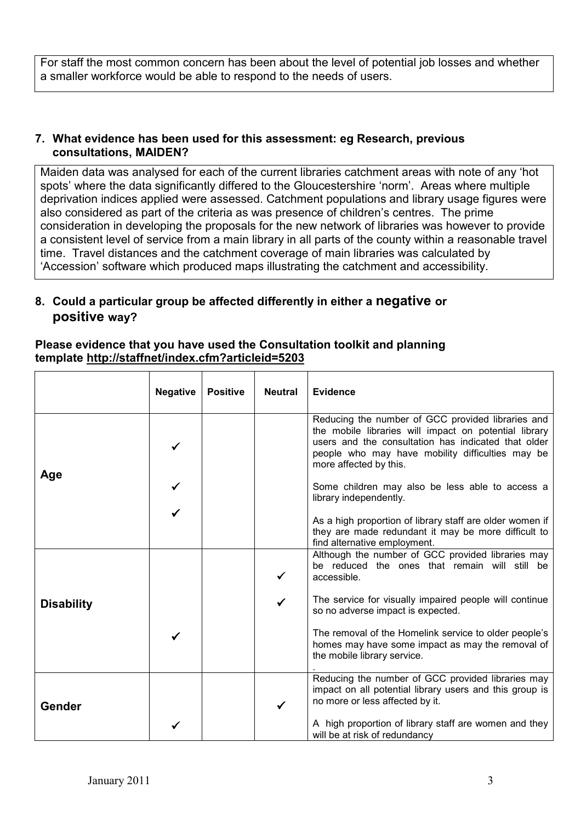For staff the most common concern has been about the level of potential job losses and whether a smaller workforce would be able to respond to the needs of users.

#### 7. What evidence has been used for this assessment: eg Research, previous consultations, MAIDEN?

Maiden data was analysed for each of the current libraries catchment areas with note of any 'hot spots' where the data significantly differed to the Gloucestershire 'norm'. Areas where multiple deprivation indices applied were assessed. Catchment populations and library usage figures were also considered as part of the criteria as was presence of children's centres. The prime consideration in developing the proposals for the new network of libraries was however to provide a consistent level of service from a main library in all parts of the county within a reasonable travel time. Travel distances and the catchment coverage of main libraries was calculated by 'Accession' software which produced maps illustrating the catchment and accessibility.

### 8. Could a particular group be affected differently in either a negative or positive way?

#### Please evidence that you have used the Consultation toolkit and planning template http://staffnet/index.cfm?articleid=5203

|                   | <b>Negative</b> | <b>Positive</b> | <b>Neutral</b> | <b>Evidence</b>                                                                                                                                                                                                                                 |
|-------------------|-----------------|-----------------|----------------|-------------------------------------------------------------------------------------------------------------------------------------------------------------------------------------------------------------------------------------------------|
| Age               |                 |                 |                | Reducing the number of GCC provided libraries and<br>the mobile libraries will impact on potential library<br>users and the consultation has indicated that older<br>people who may have mobility difficulties may be<br>more affected by this. |
|                   |                 |                 |                | Some children may also be less able to access a<br>library independently.                                                                                                                                                                       |
|                   |                 |                 |                | As a high proportion of library staff are older women if<br>they are made redundant it may be more difficult to<br>find alternative employment.                                                                                                 |
|                   |                 |                 |                | Although the number of GCC provided libraries may<br>be reduced the ones that remain will still be<br>accessible.                                                                                                                               |
| <b>Disability</b> |                 |                 | ✓              | The service for visually impaired people will continue<br>so no adverse impact is expected.                                                                                                                                                     |
|                   |                 |                 |                | The removal of the Homelink service to older people's<br>homes may have some impact as may the removal of<br>the mobile library service.                                                                                                        |
| Gender            |                 |                 |                | Reducing the number of GCC provided libraries may<br>impact on all potential library users and this group is<br>no more or less affected by it.                                                                                                 |
|                   |                 |                 |                | A high proportion of library staff are women and they<br>will be at risk of redundancy                                                                                                                                                          |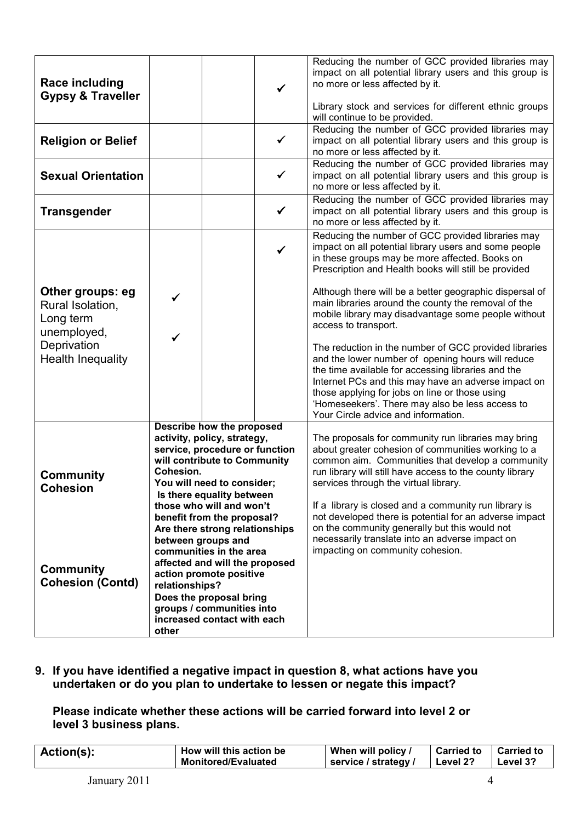| <b>Race including</b><br><b>Gypsy &amp; Traveller</b>            |                                                                                                                                                                                                                                                                                                                                                 |  |              | Reducing the number of GCC provided libraries may<br>impact on all potential library users and this group is<br>no more or less affected by it.<br>Library stock and services for different ethnic groups<br>will continue to be provided.                                                                                                                                                                                                                                                                                    |
|------------------------------------------------------------------|-------------------------------------------------------------------------------------------------------------------------------------------------------------------------------------------------------------------------------------------------------------------------------------------------------------------------------------------------|--|--------------|-------------------------------------------------------------------------------------------------------------------------------------------------------------------------------------------------------------------------------------------------------------------------------------------------------------------------------------------------------------------------------------------------------------------------------------------------------------------------------------------------------------------------------|
| <b>Religion or Belief</b>                                        |                                                                                                                                                                                                                                                                                                                                                 |  | $\checkmark$ | Reducing the number of GCC provided libraries may<br>impact on all potential library users and this group is<br>no more or less affected by it.                                                                                                                                                                                                                                                                                                                                                                               |
| <b>Sexual Orientation</b>                                        | ✓                                                                                                                                                                                                                                                                                                                                               |  |              | Reducing the number of GCC provided libraries may<br>impact on all potential library users and this group is<br>no more or less affected by it.                                                                                                                                                                                                                                                                                                                                                                               |
| <b>Transgender</b>                                               |                                                                                                                                                                                                                                                                                                                                                 |  | $\checkmark$ | Reducing the number of GCC provided libraries may<br>impact on all potential library users and this group is<br>no more or less affected by it.                                                                                                                                                                                                                                                                                                                                                                               |
|                                                                  |                                                                                                                                                                                                                                                                                                                                                 |  | $\checkmark$ | Reducing the number of GCC provided libraries may<br>impact on all potential library users and some people<br>in these groups may be more affected. Books on<br>Prescription and Health books will still be provided                                                                                                                                                                                                                                                                                                          |
| Other groups: eg<br>Rural Isolation,<br>Long term<br>unemployed, | $\checkmark$<br>✓                                                                                                                                                                                                                                                                                                                               |  |              | Although there will be a better geographic dispersal of<br>main libraries around the county the removal of the<br>mobile library may disadvantage some people without<br>access to transport.                                                                                                                                                                                                                                                                                                                                 |
| Deprivation<br><b>Health Inequality</b>                          |                                                                                                                                                                                                                                                                                                                                                 |  |              | The reduction in the number of GCC provided libraries<br>and the lower number of opening hours will reduce<br>the time available for accessing libraries and the<br>Internet PCs and this may have an adverse impact on<br>those applying for jobs on line or those using<br>'Homeseekers'. There may also be less access to<br>Your Circle advice and information.                                                                                                                                                           |
| <b>Community</b><br><b>Cohesion</b>                              | Describe how the proposed<br>activity, policy, strategy,<br>service, procedure or function<br>will contribute to Community<br>Cohesion.<br>You will need to consider;<br>Is there equality between<br>those who will and won't<br>benefit from the proposal?<br>Are there strong relationships<br>between groups and<br>communities in the area |  |              | The proposals for community run libraries may bring<br>about greater cohesion of communities working to a<br>common aim. Communities that develop a community<br>run library will still have access to the county library<br>services through the virtual library.<br>If a library is closed and a community run library is<br>not developed there is potential for an adverse impact<br>on the community generally but this would not<br>necessarily translate into an adverse impact on<br>impacting on community cohesion. |
| <b>Community</b><br><b>Cohesion (Contd)</b>                      | affected and will the proposed<br>action promote positive<br>relationships?<br>Does the proposal bring<br>groups / communities into<br>increased contact with each<br>other                                                                                                                                                                     |  |              |                                                                                                                                                                                                                                                                                                                                                                                                                                                                                                                               |

9. If you have identified a negative impact in question 8, what actions have you undertaken or do you plan to undertake to lessen or negate this impact?

#### Please indicate whether these actions will be carried forward into level 2 or level 3 business plans.

| Action(s): | How will this action be    | When will policy /   | Carried to   Carried to |          |
|------------|----------------------------|----------------------|-------------------------|----------|
|            | <b>Monitored/Evaluated</b> | service / strategy / | ∣ Level 2?              | Level 3? |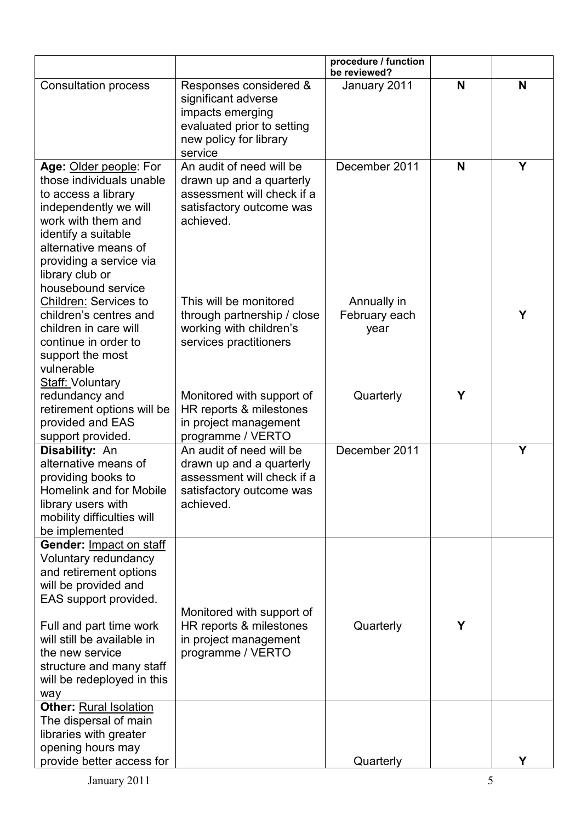|                                                                                                                                                                                                                                                                         |                                                                                                                                      | procedure / function<br>be reviewed? |   |   |
|-------------------------------------------------------------------------------------------------------------------------------------------------------------------------------------------------------------------------------------------------------------------------|--------------------------------------------------------------------------------------------------------------------------------------|--------------------------------------|---|---|
| <b>Consultation process</b>                                                                                                                                                                                                                                             | Responses considered &<br>significant adverse<br>impacts emerging<br>evaluated prior to setting<br>new policy for library<br>service | January 2011                         | N | N |
| Age: Older people: For<br>those individuals unable<br>to access a library<br>independently we will<br>work with them and<br>identify a suitable<br>alternative means of<br>providing a service via<br>library club or<br>housebound service                             | An audit of need will be<br>drawn up and a quarterly<br>assessment will check if a<br>satisfactory outcome was<br>achieved.          | December 2011                        | N | Y |
| Children: Services to<br>children's centres and<br>children in care will<br>continue in order to<br>support the most<br>vulnerable<br><b>Staff: Voluntary</b>                                                                                                           | This will be monitored<br>through partnership / close<br>working with children's<br>services practitioners                           | Annually in<br>February each<br>year |   | Υ |
| redundancy and<br>retirement options will be<br>provided and EAS<br>support provided.                                                                                                                                                                                   | Monitored with support of<br>HR reports & milestones<br>in project management<br>programme / VERTO                                   | Quarterly                            | Y |   |
| Disability: An<br>alternative means of<br>providing books to<br>Homelink and for Mobile<br>library users with<br>mobility difficulties will<br>be implemented                                                                                                           | An audit of need will be<br>drawn up and a quarterly<br>assessment will check if a<br>satisfactory outcome was<br>achieved.          | December 2011                        |   | Y |
| Gender: Impact on staff<br>Voluntary redundancy<br>and retirement options<br>will be provided and<br>EAS support provided.<br>Full and part time work<br>will still be available in<br>the new service<br>structure and many staff<br>will be redeployed in this<br>way | Monitored with support of<br>HR reports & milestones<br>in project management<br>programme / VERTO                                   | Quarterly                            | Y |   |
| <b>Other: Rural Isolation</b><br>The dispersal of main<br>libraries with greater<br>opening hours may<br>provide better access for                                                                                                                                      |                                                                                                                                      | Quarterly                            |   | Υ |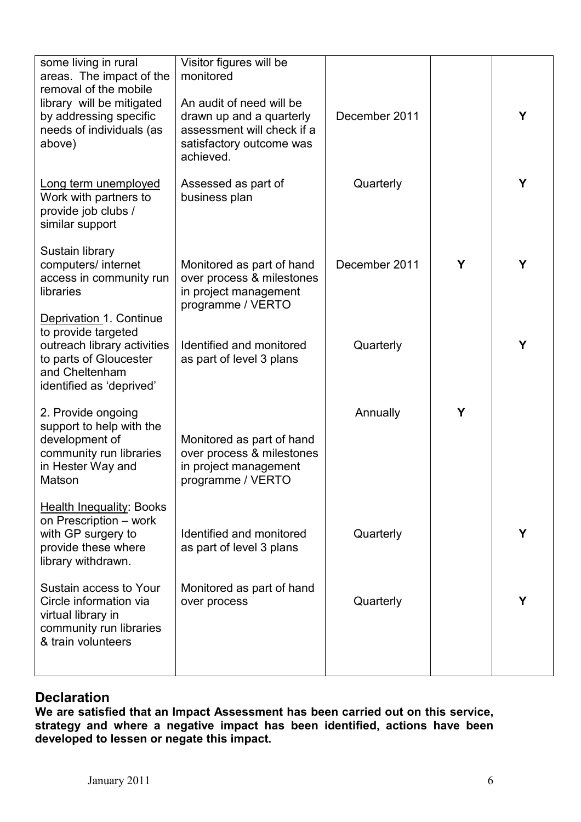| some living in rural<br>areas. The impact of the<br>removal of the mobile                                                                             | Visitor figures will be<br>monitored                                                                                        |               |   |   |
|-------------------------------------------------------------------------------------------------------------------------------------------------------|-----------------------------------------------------------------------------------------------------------------------------|---------------|---|---|
| library will be mitigated<br>by addressing specific<br>needs of individuals (as<br>above)                                                             | An audit of need will be<br>drawn up and a quarterly<br>assessment will check if a<br>satisfactory outcome was<br>achieved. | December 2011 |   | Y |
| Long term unemployed<br>Work with partners to<br>provide job clubs /<br>similar support                                                               | Assessed as part of<br>business plan                                                                                        | Quarterly     |   | Y |
| Sustain library<br>computers/ internet<br>access in community run<br>libraries                                                                        | Monitored as part of hand<br>over process & milestones<br>in project management<br>programme / VERTO                        | December 2011 | Y | Υ |
| Deprivation 1. Continue<br>to provide targeted<br>outreach library activities<br>to parts of Gloucester<br>and Cheltenham<br>identified as 'deprived' | Identified and monitored<br>as part of level 3 plans                                                                        | Quarterly     |   | Υ |
| 2. Provide ongoing<br>support to help with the<br>development of<br>community run libraries<br>in Hester Way and<br>Matson                            | Monitored as part of hand<br>over process & milestones<br>in project management<br>programme / VERTO                        | Annually      | Y |   |
| <b>Health Inequality: Books</b><br>on Prescription - work<br>with GP surgery to<br>provide these where<br>library withdrawn.                          | Identified and monitored<br>as part of level 3 plans                                                                        | Quarterly     |   | Y |
| Sustain access to Your<br>Circle information via<br>virtual library in<br>community run libraries<br>& train volunteers                               | Monitored as part of hand<br>over process                                                                                   | Quarterly     |   | Y |
|                                                                                                                                                       |                                                                                                                             |               |   |   |

## **Declaration**

We are satisfied that an Impact Assessment has been carried out on this service, strategy and where a negative impact has been identified, actions have been developed to lessen or negate this impact.